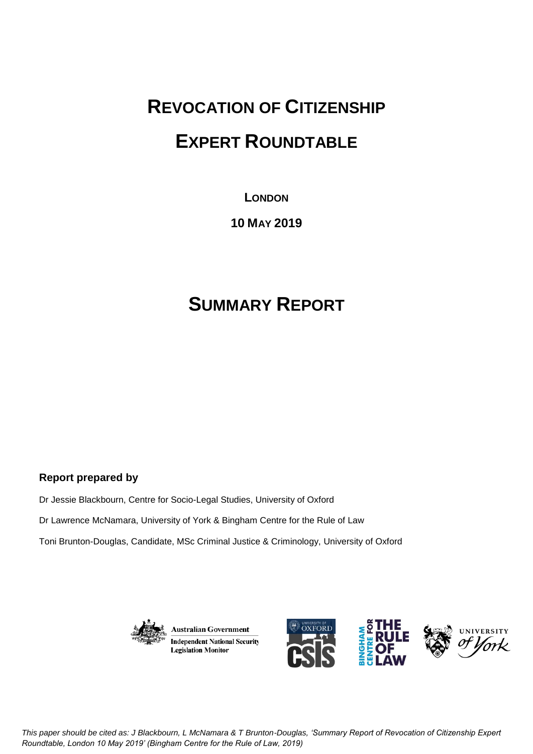# **REVOCATION OF CITIZENSHIP EXPERT ROUNDTABLE**

## **LONDON**

## **10 MAY 2019**

## **SUMMARY REPORT**

### **Report prepared by**

Dr Jessie Blackbourn, Centre for Socio-Legal Studies, University of Oxford

Dr Lawrence McNamara, University of York & Bingham Centre for the Rule of Law

Toni Brunton-Douglas, Candidate, MSc Criminal Justice & Criminology, University of Oxford



**Australian Government Independent National Security Legislation Monitor** 



*This paper should be cited as: J Blackbourn, L McNamara & T Brunton-Douglas, 'Summary Report of Revocation of Citizenship Expert Roundtable, London 10 May 2019' (Bingham Centre for the Rule of Law, 2019)*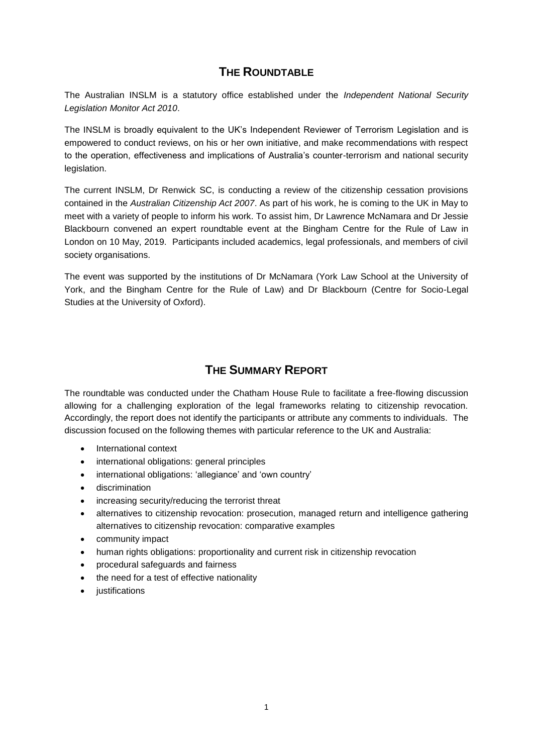## **THE ROUNDTABLE**

The Australian INSLM is a statutory office established under the *Independent National Security Legislation Monitor Act 2010*.

The INSLM is broadly equivalent to the UK's Independent Reviewer of Terrorism Legislation and is empowered to conduct reviews, on his or her own initiative, and make recommendations with respect to the operation, effectiveness and implications of Australia's counter-terrorism and national security legislation.

The current INSLM, Dr Renwick SC, is conducting a review of the citizenship cessation provisions contained in the *Australian Citizenship Act 2007*. As part of his work, he is coming to the UK in May to meet with a variety of people to inform his work. To assist him, Dr Lawrence McNamara and Dr Jessie Blackbourn convened an expert roundtable event at the Bingham Centre for the Rule of Law in London on 10 May, 2019. Participants included academics, legal professionals, and members of civil society organisations.

The event was supported by the institutions of Dr McNamara (York Law School at the University of York, and the Bingham Centre for the Rule of Law) and Dr Blackbourn (Centre for Socio-Legal Studies at the University of Oxford).

## **THE SUMMARY REPORT**

The roundtable was conducted under the Chatham House Rule to facilitate a free-flowing discussion allowing for a challenging exploration of the legal frameworks relating to citizenship revocation. Accordingly, the report does not identify the participants or attribute any comments to individuals. The discussion focused on the following themes with particular reference to the UK and Australia:

- International context
- international obligations: general principles
- international obligations: 'allegiance' and 'own country'
- discrimination
- increasing security/reducing the terrorist threat
- alternatives to citizenship revocation: prosecution, managed return and intelligence gathering alternatives to citizenship revocation: comparative examples
- community impact
- human rights obligations: proportionality and current risk in citizenship revocation
- procedural safeguards and fairness
- the need for a test of effective nationality
- justifications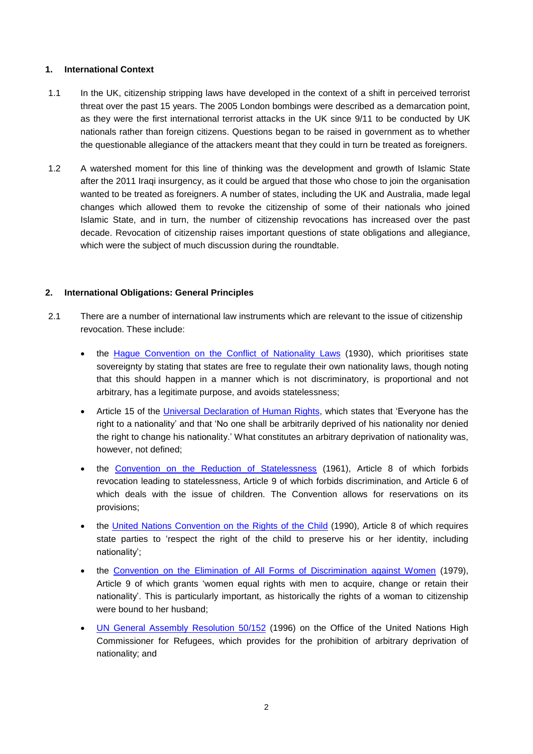#### **1. International Context**

- 1.1 In the UK, citizenship stripping laws have developed in the context of a shift in perceived terrorist threat over the past 15 years. The 2005 London bombings were described as a demarcation point, as they were the first international terrorist attacks in the UK since 9/11 to be conducted by UK nationals rather than foreign citizens. Questions began to be raised in government as to whether the questionable allegiance of the attackers meant that they could in turn be treated as foreigners.
- 1.2 A watershed moment for this line of thinking was the development and growth of Islamic State after the 2011 Iraqi insurgency, as it could be argued that those who chose to join the organisation wanted to be treated as foreigners. A number of states, including the UK and Australia, made legal changes which allowed them to revoke the citizenship of some of their nationals who joined Islamic State, and in turn, the number of citizenship revocations has increased over the past decade. Revocation of citizenship raises important questions of state obligations and allegiance, which were the subject of much discussion during the roundtable.

#### **2. International Obligations: General Principles**

- 2.1 There are a number of international law instruments which are relevant to the issue of citizenship revocation. These include:
	- the Hague [Convention](http://eudo-citizenship.eu/InternationalDB/docs/Convention%20on%20certain%20questions%20relating%20to%20the%20conflict%20of%20nationality%20laws%20FULL%20TEXT.pdf) on the Conflict of Nationality Laws (1930), which prioritises state sovereignty by stating that states are free to regulate their own nationality laws, though noting that this should happen in a manner which is not discriminatory, is proportional and not arbitrary, has a legitimate purpose, and avoids statelessness;
	- Article 15 of the Universal [Declaration](https://www.ohchr.org/EN/UDHR/Documents/UDHR_Translations/eng.pdf) of Human Rights, which states that 'Everyone has the right to a nationality' and that 'No one shall be arbitrarily deprived of his nationality nor denied the right to change his nationality.' What constitutes an arbitrary deprivation of nationality was, however, not defined;
	- the Convention on the Reduction of [Statelessness](https://www.unhcr.org/ibelong/wp-content/uploads/1961-Convention-on-the-reduction-of-Statelessness_ENG.pdf) (1961), Article 8 of which forbids revocation leading to statelessness, Article 9 of which forbids discrimination, and Article 6 of which deals with the issue of children. The Convention allows for reservations on its provisions;
	- the United Nations [Convention](https://downloads.unicef.org.uk/wp-content/uploads/2010/05/UNCRC_united_nations_convention_on_the_rights_of_the_child.pdf?_ga=2.152952829.517662098.1559578270-212221649.1559578270) on the Rights of the Child (1990), Article 8 of which requires state parties to 'respect the right of the child to preserve his or her identity, including nationality';
	- the Convention on the Elimination of All Forms of [Discrimination](https://www.un.org/womenwatch/daw/cedaw/text/econvention.htm#article9) against Women (1979), Article 9 of which grants 'women equal rights with men to acquire, change or retain their nationality'. This is particularly important, as historically the rights of a woman to citizenship were bound to her husband;
	- UN General Assembly [Resolution](https://www.un.org/en/ga/search/view_doc.asp?symbol=A/RES/50/152) 50/152 (1996) on the Office of the United Nations High Commissioner for Refugees, which provides for the prohibition of arbitrary deprivation of nationality; and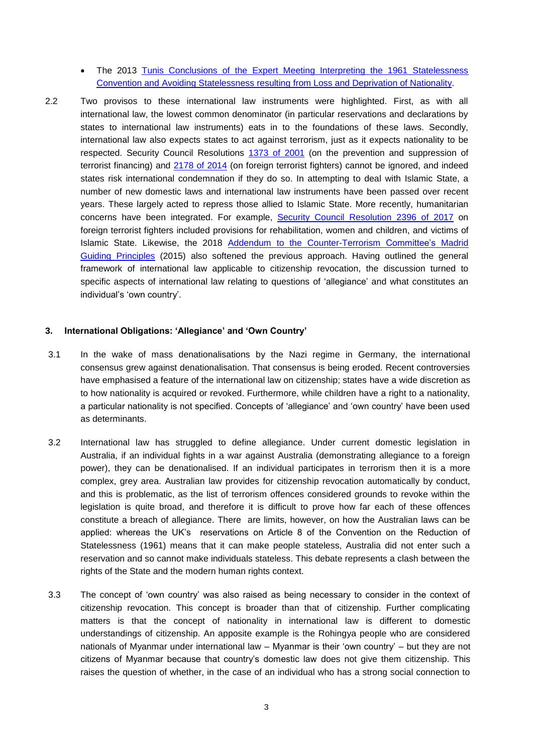- The 2013 Tunis Conclusions of the Expert Meeting Interpreting the 1961 [Statelessness](https://www.refworld.org/pdfid/533a754b4.pdf) Convention and Avoiding [Statelessness](https://www.refworld.org/pdfid/533a754b4.pdf) resulting from Loss and Deprivation of Nationality.
- 2.2 Two provisos to these international law instruments were highlighted. First, as with all international law, the lowest common denominator (in particular reservations and declarations by states to international law instruments) eats in to the foundations of these laws. Secondly, international law also expects states to act against terrorism, just as it expects nationality to be respected. Security Council Resolutions [1373](https://undocs.org/S/RES/1373(2001)) of 2001 (on the prevention and suppression of terrorist financing) and [2178](https://undocs.org/S/RES/2178%20(2014)) of 2014 (on foreign terrorist fighters) cannot be ignored, and indeed states risk international condemnation if they do so. In attempting to deal with Islamic State, a number of new domestic laws and international law instruments have been passed over recent years. These largely acted to repress those allied to Islamic State. More recently, humanitarian concerns have been integrated. For example, Security Council [Resolution](https://undocs.org/S/RES/2396(2017)) 2396 of 2017 on foreign terrorist fighters included provisions for rehabilitation, women and children, and victims of Islamic State. Likewise, the 2018 Addendum to the [Counter-Terrorism](https://www.un.org/sc/ctc/wp-content/uploads/2016/10/Madrid-Guiding-Principles_EN.pdf) Committee's Madrid Guiding [Principles](https://www.un.org/sc/ctc/wp-content/uploads/2016/10/Madrid-Guiding-Principles_EN.pdf) (2015) also softened the previous approach. Having outlined the general framework of international law applicable to citizenship revocation, the discussion turned to specific aspects of international law relating to questions of 'allegiance' and what constitutes an individual's 'own country'.

#### **3. International Obligations: 'Allegiance' and 'Own Country'**

- 3.1 In the wake of mass denationalisations by the Nazi regime in Germany, the international consensus grew against denationalisation. That consensus is being eroded. Recent controversies have emphasised a feature of the international law on citizenship; states have a wide discretion as to how nationality is acquired or revoked. Furthermore, while children have a right to a nationality, a particular nationality is not specified. Concepts of 'allegiance' and 'own country' have been used as determinants.
- 3.2 International law has struggled to define allegiance. Under current domestic legislation in Australia, if an individual fights in a war against Australia (demonstrating allegiance to a foreign power), they can be denationalised. If an individual participates in terrorism then it is a more complex, grey area. Australian law provides for citizenship revocation automatically by conduct, and this is problematic, as the list of terrorism offences considered grounds to revoke within the legislation is quite broad, and therefore it is difficult to prove how far each of these offences constitute a breach of allegiance. There are limits, however, on how the Australian laws can be applied: whereas the UK's reservations on Article 8 of the Convention on the Reduction of Statelessness (1961) means that it can make people stateless, Australia did not enter such a reservation and so cannot make individuals stateless. This debate represents a clash between the rights of the State and the modern human rights context.
- 3.3 The concept of 'own country' was also raised as being necessary to consider in the context of citizenship revocation. This concept is broader than that of citizenship. Further complicating matters is that the concept of nationality in international law is different to domestic understandings of citizenship. An apposite example is the Rohingya people who are considered nationals of Myanmar under international law – Myanmar is their 'own country' – but they are not citizens of Myanmar because that country's domestic law does not give them citizenship. This raises the question of whether, in the case of an individual who has a strong social connection to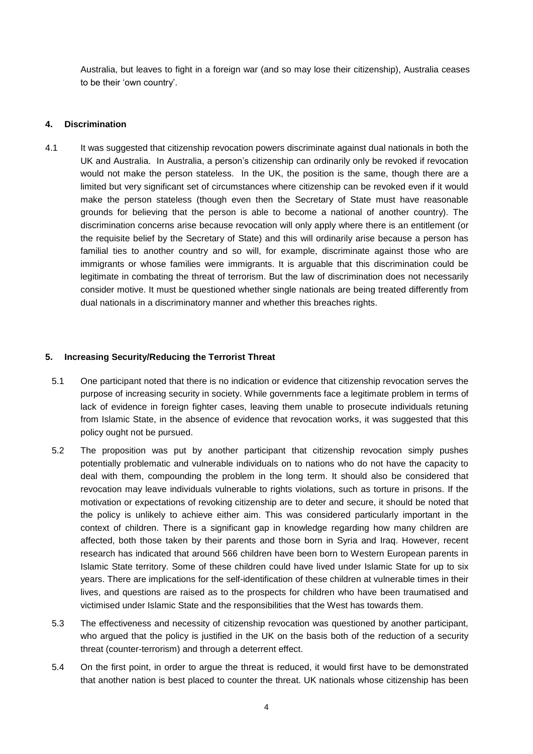Australia, but leaves to fight in a foreign war (and so may lose their citizenship), Australia ceases to be their 'own country'.

#### **4. Discrimination**

4.1 It was suggested that citizenship revocation powers discriminate against dual nationals in both the UK and Australia. In Australia, a person's citizenship can ordinarily only be revoked if revocation would not make the person stateless. In the UK, the position is the same, though there are a limited but very significant set of circumstances where citizenship can be revoked even if it would make the person stateless (though even then the Secretary of State must have reasonable grounds for believing that the person is able to become a national of another country). The discrimination concerns arise because revocation will only apply where there is an entitlement (or the requisite belief by the Secretary of State) and this will ordinarily arise because a person has familial ties to another country and so will, for example, discriminate against those who are immigrants or whose families were immigrants. It is arguable that this discrimination could be legitimate in combating the threat of terrorism. But the law of discrimination does not necessarily consider motive. It must be questioned whether single nationals are being treated differently from dual nationals in a discriminatory manner and whether this breaches rights.

#### **5. Increasing Security/Reducing the Terrorist Threat**

- 5.1 One participant noted that there is no indication or evidence that citizenship revocation serves the purpose of increasing security in society. While governments face a legitimate problem in terms of lack of evidence in foreign fighter cases, leaving them unable to prosecute individuals retuning from Islamic State, in the absence of evidence that revocation works, it was suggested that this policy ought not be pursued.
- 5.2 The proposition was put by another participant that citizenship revocation simply pushes potentially problematic and vulnerable individuals on to nations who do not have the capacity to deal with them, compounding the problem in the long term. It should also be considered that revocation may leave individuals vulnerable to rights violations, such as torture in prisons. If the motivation or expectations of revoking citizenship are to deter and secure, it should be noted that the policy is unlikely to achieve either aim. This was considered particularly important in the context of children. There is a significant gap in knowledge regarding how many children are affected, both those taken by their parents and those born in Syria and Iraq. However, recent research has indicated that around 566 children have been born to Western European parents in Islamic State territory. Some of these children could have lived under Islamic State for up to six years. There are implications for the self-identification of these children at vulnerable times in their lives, and questions are raised as to the prospects for children who have been traumatised and victimised under Islamic State and the responsibilities that the West has towards them.
- 5.3 The effectiveness and necessity of citizenship revocation was questioned by another participant, who argued that the policy is justified in the UK on the basis both of the reduction of a security threat (counter-terrorism) and through a deterrent effect.
- 5.4 On the first point, in order to argue the threat is reduced, it would first have to be demonstrated that another nation is best placed to counter the threat. UK nationals whose citizenship has been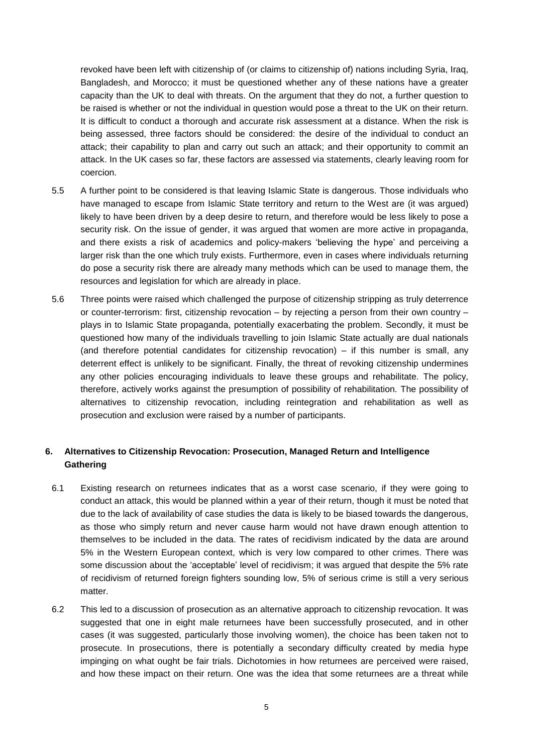revoked have been left with citizenship of (or claims to citizenship of) nations including Syria, Iraq, Bangladesh, and Morocco; it must be questioned whether any of these nations have a greater capacity than the UK to deal with threats. On the argument that they do not, a further question to be raised is whether or not the individual in question would pose a threat to the UK on their return. It is difficult to conduct a thorough and accurate risk assessment at a distance. When the risk is being assessed, three factors should be considered: the desire of the individual to conduct an attack; their capability to plan and carry out such an attack; and their opportunity to commit an attack. In the UK cases so far, these factors are assessed via statements, clearly leaving room for coercion.

- 5.5 A further point to be considered is that leaving Islamic State is dangerous. Those individuals who have managed to escape from Islamic State territory and return to the West are (it was argued) likely to have been driven by a deep desire to return, and therefore would be less likely to pose a security risk. On the issue of gender, it was argued that women are more active in propaganda, and there exists a risk of academics and policy-makers 'believing the hype' and perceiving a larger risk than the one which truly exists. Furthermore, even in cases where individuals returning do pose a security risk there are already many methods which can be used to manage them, the resources and legislation for which are already in place.
- 5.6 Three points were raised which challenged the purpose of citizenship stripping as truly deterrence or counter-terrorism: first, citizenship revocation – by rejecting a person from their own country – plays in to Islamic State propaganda, potentially exacerbating the problem. Secondly, it must be questioned how many of the individuals travelling to join Islamic State actually are dual nationals (and therefore potential candidates for citizenship revocation)  $-$  if this number is small, any deterrent effect is unlikely to be significant. Finally, the threat of revoking citizenship undermines any other policies encouraging individuals to leave these groups and rehabilitate. The policy, therefore, actively works against the presumption of possibility of rehabilitation. The possibility of alternatives to citizenship revocation, including reintegration and rehabilitation as well as prosecution and exclusion were raised by a number of participants.

#### **6. Alternatives to Citizenship Revocation: Prosecution, Managed Return and Intelligence Gathering**

- 6.1 Existing research on returnees indicates that as a worst case scenario, if they were going to conduct an attack, this would be planned within a year of their return, though it must be noted that due to the lack of availability of case studies the data is likely to be biased towards the dangerous, as those who simply return and never cause harm would not have drawn enough attention to themselves to be included in the data. The rates of recidivism indicated by the data are around 5% in the Western European context, which is very low compared to other crimes. There was some discussion about the 'acceptable' level of recidivism; it was argued that despite the 5% rate of recidivism of returned foreign fighters sounding low, 5% of serious crime is still a very serious matter.
- 6.2 This led to a discussion of prosecution as an alternative approach to citizenship revocation. It was suggested that one in eight male returnees have been successfully prosecuted, and in other cases (it was suggested, particularly those involving women), the choice has been taken not to prosecute. In prosecutions, there is potentially a secondary difficulty created by media hype impinging on what ought be fair trials. Dichotomies in how returnees are perceived were raised, and how these impact on their return. One was the idea that some returnees are a threat while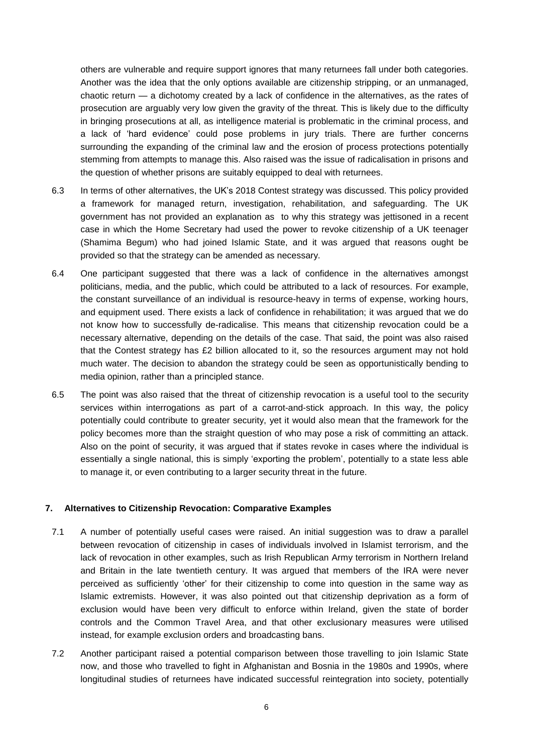others are vulnerable and require support ignores that many returnees fall under both categories. Another was the idea that the only options available are citizenship stripping, or an unmanaged, chaotic return — a dichotomy created by a lack of confidence in the alternatives, as the rates of prosecution are arguably very low given the gravity of the threat. This is likely due to the difficulty in bringing prosecutions at all, as intelligence material is problematic in the criminal process, and a lack of 'hard evidence' could pose problems in jury trials. There are further concerns surrounding the expanding of the criminal law and the erosion of process protections potentially stemming from attempts to manage this. Also raised was the issue of radicalisation in prisons and the question of whether prisons are suitably equipped to deal with returnees.

- 6.3 In terms of other alternatives, the UK's 2018 Contest strategy was discussed. This policy provided a framework for managed return, investigation, rehabilitation, and safeguarding. The UK government has not provided an explanation as to why this strategy was jettisoned in a recent case in which the Home Secretary had used the power to revoke citizenship of a UK teenager (Shamima Begum) who had joined Islamic State, and it was argued that reasons ought be provided so that the strategy can be amended as necessary.
- 6.4 One participant suggested that there was a lack of confidence in the alternatives amongst politicians, media, and the public, which could be attributed to a lack of resources. For example, the constant surveillance of an individual is resource-heavy in terms of expense, working hours, and equipment used. There exists a lack of confidence in rehabilitation; it was argued that we do not know how to successfully de-radicalise. This means that citizenship revocation could be a necessary alternative, depending on the details of the case. That said, the point was also raised that the Contest strategy has £2 billion allocated to it, so the resources argument may not hold much water. The decision to abandon the strategy could be seen as opportunistically bending to media opinion, rather than a principled stance.
- 6.5 The point was also raised that the threat of citizenship revocation is a useful tool to the security services within interrogations as part of a carrot-and-stick approach. In this way, the policy potentially could contribute to greater security, yet it would also mean that the framework for the policy becomes more than the straight question of who may pose a risk of committing an attack. Also on the point of security, it was argued that if states revoke in cases where the individual is essentially a single national, this is simply 'exporting the problem', potentially to a state less able to manage it, or even contributing to a larger security threat in the future.

#### **7. Alternatives to Citizenship Revocation: Comparative Examples**

- 7.1 A number of potentially useful cases were raised. An initial suggestion was to draw a parallel between revocation of citizenship in cases of individuals involved in Islamist terrorism, and the lack of revocation in other examples, such as Irish Republican Army terrorism in Northern Ireland and Britain in the late twentieth century. It was argued that members of the IRA were never perceived as sufficiently 'other' for their citizenship to come into question in the same way as Islamic extremists. However, it was also pointed out that citizenship deprivation as a form of exclusion would have been very difficult to enforce within Ireland, given the state of border controls and the Common Travel Area, and that other exclusionary measures were utilised instead, for example exclusion orders and broadcasting bans.
- 7.2 Another participant raised a potential comparison between those travelling to join Islamic State now, and those who travelled to fight in Afghanistan and Bosnia in the 1980s and 1990s, where longitudinal studies of returnees have indicated successful reintegration into society, potentially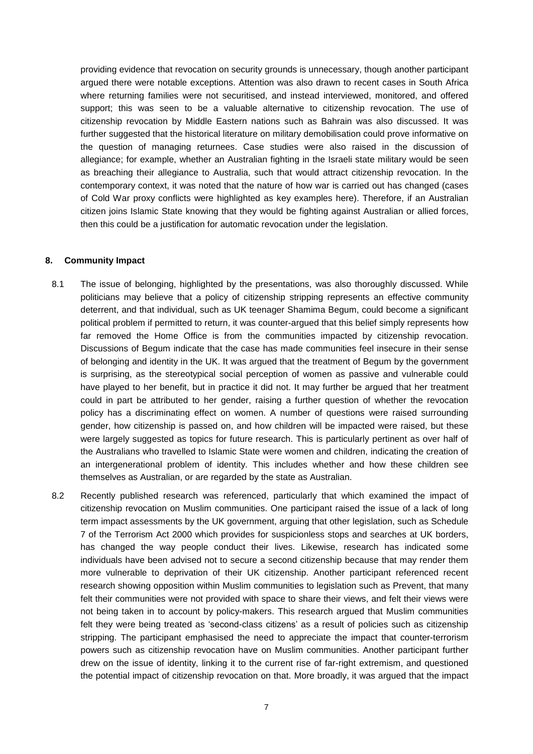providing evidence that revocation on security grounds is unnecessary, though another participant argued there were notable exceptions. Attention was also drawn to recent cases in South Africa where returning families were not securitised, and instead interviewed, monitored, and offered support; this was seen to be a valuable alternative to citizenship revocation. The use of citizenship revocation by Middle Eastern nations such as Bahrain was also discussed. It was further suggested that the historical literature on military demobilisation could prove informative on the question of managing returnees. Case studies were also raised in the discussion of allegiance; for example, whether an Australian fighting in the Israeli state military would be seen as breaching their allegiance to Australia, such that would attract citizenship revocation. In the contemporary context, it was noted that the nature of how war is carried out has changed (cases of Cold War proxy conflicts were highlighted as key examples here). Therefore, if an Australian citizen joins Islamic State knowing that they would be fighting against Australian or allied forces, then this could be a justification for automatic revocation under the legislation.

#### **8. Community Impact**

- 8.1 The issue of belonging, highlighted by the presentations, was also thoroughly discussed. While politicians may believe that a policy of citizenship stripping represents an effective community deterrent, and that individual, such as UK teenager Shamima Begum, could become a significant political problem if permitted to return, it was counter-argued that this belief simply represents how far removed the Home Office is from the communities impacted by citizenship revocation. Discussions of Begum indicate that the case has made communities feel insecure in their sense of belonging and identity in the UK. It was argued that the treatment of Begum by the government is surprising, as the stereotypical social perception of women as passive and vulnerable could have played to her benefit, but in practice it did not. It may further be argued that her treatment could in part be attributed to her gender, raising a further question of whether the revocation policy has a discriminating effect on women. A number of questions were raised surrounding gender, how citizenship is passed on, and how children will be impacted were raised, but these were largely suggested as topics for future research. This is particularly pertinent as over half of the Australians who travelled to Islamic State were women and children, indicating the creation of an intergenerational problem of identity. This includes whether and how these children see themselves as Australian, or are regarded by the state as Australian.
- 8.2 Recently published research was referenced, particularly that which examined the impact of citizenship revocation on Muslim communities. One participant raised the issue of a lack of long term impact assessments by the UK government, arguing that other legislation, such as Schedule 7 of the Terrorism Act 2000 which provides for suspicionless stops and searches at UK borders, has changed the way people conduct their lives. Likewise, research has indicated some individuals have been advised not to secure a second citizenship because that may render them more vulnerable to deprivation of their UK citizenship. Another participant referenced recent research showing opposition within Muslim communities to legislation such as Prevent, that many felt their communities were not provided with space to share their views, and felt their views were not being taken in to account by policy-makers. This research argued that Muslim communities felt they were being treated as 'second-class citizens' as a result of policies such as citizenship stripping. The participant emphasised the need to appreciate the impact that counter-terrorism powers such as citizenship revocation have on Muslim communities. Another participant further drew on the issue of identity, linking it to the current rise of far-right extremism, and questioned the potential impact of citizenship revocation on that. More broadly, it was argued that the impact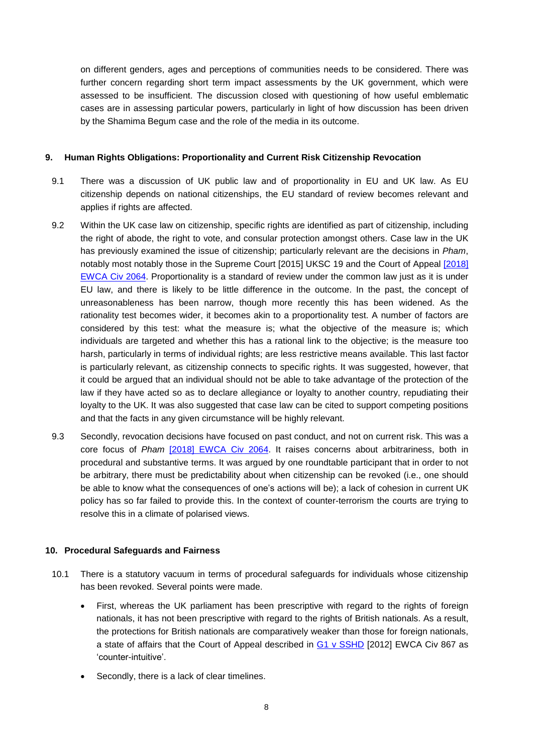on different genders, ages and perceptions of communities needs to be considered. There was further concern regarding short term impact assessments by the UK government, which were assessed to be insufficient. The discussion closed with questioning of how useful emblematic cases are in assessing particular powers, particularly in light of how discussion has been driven by the Shamima Begum case and the role of the media in its outcome.

#### **9. Human Rights Obligations: Proportionality and Current Risk Citizenship Revocation**

- 9.1 There was a discussion of UK public law and of proportionality in EU and UK law. As EU citizenship depends on national citizenships, the EU standard of review becomes relevant and applies if rights are affected.
- 9.2 Within the UK case law on citizenship, specific rights are identified as part of citizenship, including the right of abode, the right to vote, and consular protection amongst others. Case law in the UK has previously examined the issue of citizenship; particularly relevant are the decisions in *Pham*, notably most notably those in the Supreme Court [2015] UKSC 19 and the Court of Appeal [\[2018\]](https://www.bailii.org/ew/cases/EWCA/Civ/2018/2064.html) [EWCA](https://www.bailii.org/ew/cases/EWCA/Civ/2018/2064.html) Civ 2064. Proportionality is a standard of review under the common law just as it is under EU law, and there is likely to be little difference in the outcome. In the past, the concept of unreasonableness has been narrow, though more recently this has been widened. As the rationality test becomes wider, it becomes akin to a proportionality test. A number of factors are considered by this test: what the measure is; what the objective of the measure is; which individuals are targeted and whether this has a rational link to the objective; is the measure too harsh, particularly in terms of individual rights; are less restrictive means available. This last factor is particularly relevant, as citizenship connects to specific rights. It was suggested, however, that it could be argued that an individual should not be able to take advantage of the protection of the law if they have acted so as to declare allegiance or loyalty to another country, repudiating their loyalty to the UK. It was also suggested that case law can be cited to support competing positions and that the facts in any given circumstance will be highly relevant.
- 9.3 Secondly, revocation decisions have focused on past conduct, and not on current risk. This was a core focus of *Pham* [2018] [EWCA](https://www.bailii.org/ew/cases/EWCA/Civ/2018/2064.html) Civ 2064. It raises concerns about arbitrariness, both in procedural and substantive terms. It was argued by one roundtable participant that in order to not be arbitrary, there must be predictability about when citizenship can be revoked (i.e., one should be able to know what the consequences of one's actions will be); a lack of cohesion in current UK policy has so far failed to provide this. In the context of counter-terrorism the courts are trying to resolve this in a climate of polarised views.

#### **10. Procedural Safeguards and Fairness**

- 10.1 There is a statutory vacuum in terms of procedural safeguards for individuals whose citizenship has been revoked. Several points were made.
	- First, whereas the UK parliament has been prescriptive with regard to the rights of foreign nationals, it has not been prescriptive with regard to the rights of British nationals. As a result, the protections for British nationals are comparatively weaker than those for foreign nationals, a state of affairs that the Court of Appeal described in G1 v [SSHD](http://www.bailii.org/ew/cases/EWCA/Civ/2012/867.html) [2012] EWCA Civ 867 as 'counter-intuitive'.
	- Secondly, there is a lack of clear timelines.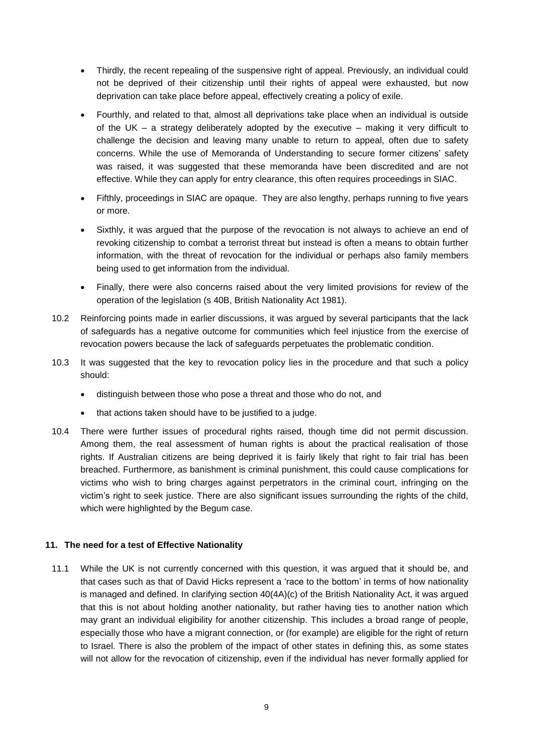- Thirdly, the recent repealing of the suspensive right of appeal. Previously, an individual could not be deprived of their citizenship until their rights of appeal were exhausted, but now deprivation can take place before appeal, effectively creating a policy of exile.
- Fourthly, and related to that, almost all deprivations take place when an individual is outside of the UK – a strategy deliberately adopted by the executive – making it very difficult to challenge the decision and leaving many unable to return to appeal, often due to safety concerns. While the use of Memoranda of Understanding to secure former citizens' safety was raised, it was suggested that these memoranda have been discredited and are not effective. While they can apply for entry clearance, this often requires proceedings in SIAC.
- Fifthly, proceedings in SIAC are opaque. They are also lengthy, perhaps running to five years or more.
- Sixthly, it was argued that the purpose of the revocation is not always to achieve an end of revoking citizenship to combat a terrorist threat but instead is often a means to obtain further information, with the threat of revocation for the individual or perhaps also family members being used to get information from the individual.
- Finally, there were also concerns raised about the very limited provisions for review of the operation of the legislation (s 40B, British Nationality Act 1981).
- 10.2 Reinforcing points made in earlier discussions, it was argued by several participants that the lack of safeguards has a negative outcome for communities which feel injustice from the exercise of revocation powers because the lack of safeguards perpetuates the problematic condition.
- 10.3 It was suggested that the key to revocation policy lies in the procedure and that such a policy should:
	- distinguish between those who pose a threat and those who do not, and
	- that actions taken should have to be justified to a judge.
- 10.4 There were further issues of procedural rights raised, though time did not permit discussion. Among them, the real assessment of human rights is about the practical realisation of those rights. If Australian citizens are being deprived it is fairly likely that right to fair trial has been breached. Furthermore, as banishment is criminal punishment, this could cause complications for victims who wish to bring charges against perpetrators in the criminal court, infringing on the victim's right to seek justice. There are also significant issues surrounding the rights of the child, which were highlighted by the Begum case.

#### **11. The need for a test of Effective Nationality**

11.1 While the UK is not currently concerned with this question, it was argued that it should be, and that cases such as that of David Hicks represent a 'race to the bottom' in terms of how nationality is managed and defined. In clarifying section 40(4A)(c) of the British Nationality Act, it was argued that this is not about holding another nationality, but rather having ties to another nation which may grant an individual eligibility for another citizenship. This includes a broad range of people, especially those who have a migrant connection, or (for example) are eligible for the right of return to Israel. There is also the problem of the impact of other states in defining this, as some states will not allow for the revocation of citizenship, even if the individual has never formally applied for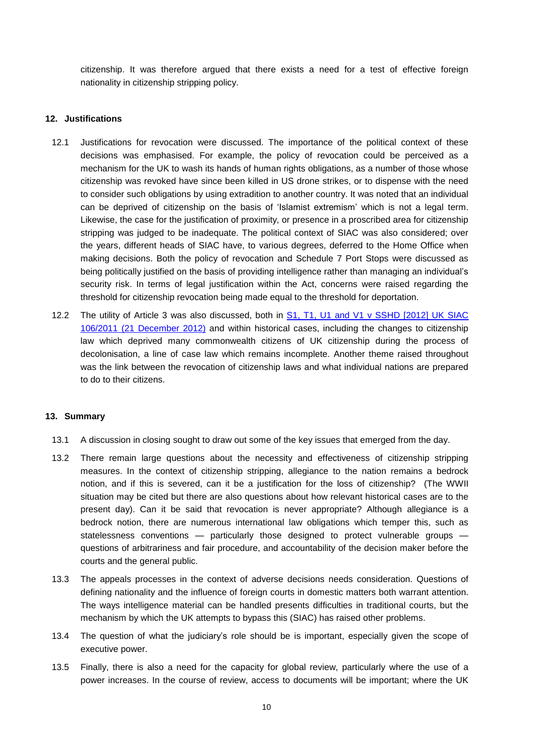citizenship. It was therefore argued that there exists a need for a test of effective foreign nationality in citizenship stripping policy.

#### **12. Justifications**

- 12.1 Justifications for revocation were discussed. The importance of the political context of these decisions was emphasised. For example, the policy of revocation could be perceived as a mechanism for the UK to wash its hands of human rights obligations, as a number of those whose citizenship was revoked have since been killed in US drone strikes, or to dispense with the need to consider such obligations by using extradition to another country. It was noted that an individual can be deprived of citizenship on the basis of 'Islamist extremism' which is not a legal term. Likewise, the case for the justification of proximity, or presence in a proscribed area for citizenship stripping was judged to be inadequate. The political context of SIAC was also considered; over the years, different heads of SIAC have, to various degrees, deferred to the Home Office when making decisions. Both the policy of revocation and Schedule 7 Port Stops were discussed as being politically justified on the basis of providing intelligence rather than managing an individual's security risk. In terms of legal justification within the Act, concerns were raised regarding the threshold for citizenship revocation being made equal to the threshold for deportation.
- 12.2 The utility of Article 3 was also discussed, both in S1, T1, U1 and V1 v SSHD [\[2012\]](http://www.bailii.org/uk/cases/SIAC/2012/106_2011_2112.pdf) UK SIAC 106/2011 (21 [December](http://www.bailii.org/uk/cases/SIAC/2012/106_2011_2112.pdf) 2012) and within historical cases, including the changes to citizenship law which deprived many commonwealth citizens of UK citizenship during the process of decolonisation, a line of case law which remains incomplete. Another theme raised throughout was the link between the revocation of citizenship laws and what individual nations are prepared to do to their citizens.

#### **13. Summary**

- 13.1 A discussion in closing sought to draw out some of the key issues that emerged from the day.
- 13.2 There remain large questions about the necessity and effectiveness of citizenship stripping measures. In the context of citizenship stripping, allegiance to the nation remains a bedrock notion, and if this is severed, can it be a justification for the loss of citizenship? (The WWII situation may be cited but there are also questions about how relevant historical cases are to the present day). Can it be said that revocation is never appropriate? Although allegiance is a bedrock notion, there are numerous international law obligations which temper this, such as statelessness conventions — particularly those designed to protect vulnerable groups questions of arbitrariness and fair procedure, and accountability of the decision maker before the courts and the general public.
- 13.3 The appeals processes in the context of adverse decisions needs consideration. Questions of defining nationality and the influence of foreign courts in domestic matters both warrant attention. The ways intelligence material can be handled presents difficulties in traditional courts, but the mechanism by which the UK attempts to bypass this (SIAC) has raised other problems.
- 13.4 The question of what the judiciary's role should be is important, especially given the scope of executive power.
- 13.5 Finally, there is also a need for the capacity for global review, particularly where the use of a power increases. In the course of review, access to documents will be important; where the UK